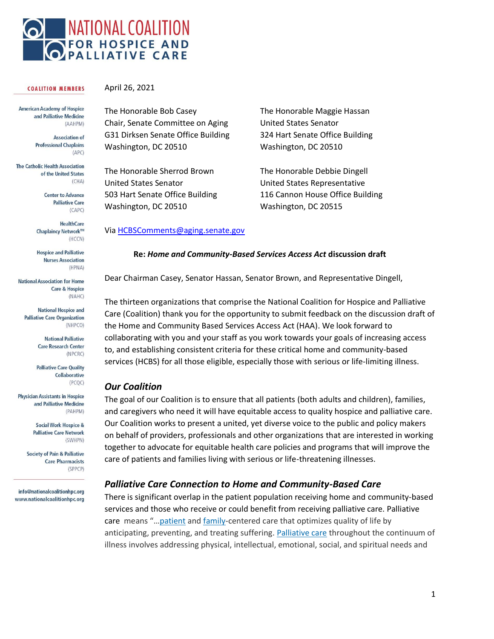

#### **COALITION MEMBERS**

**American Academy of Hospice** and Palliative Medicine (AAHPM)

> **Association of Professional Chaplains**  $(APC)$

**The Catholic Health Association** of the United States  $(CHA)$ 

> **Center to Advance Palliative Care** (CAPC)

**HealthCare** Chaplaincy Network™ (HCCN)

**Hospice and Palliative Nurses Association** (HPNA)

**National Association for Home Care & Hospice** (NAHC)

**National Hospice and Palliative Care Organization** (NHPCO)

> **National Palliative Care Research Center** (NPCRC)

**Palliative Care Quality** Collaborative (PCQC)

**Physician Assistants in Hospice** and Palliative Medicine (PAHPM)

> **Social Work Hospice & Palliative Care Network** (SWHPN)

**Society of Pain & Palliative Care Pharmacists** (SPPCP)

info@nationalcoalitionhpc.org www.nationalcoalitionhpc.org April 26, 2021

The Honorable Bob Casey Chair, Senate Committee on Aging G31 Dirksen Senate Office Building Washington, DC 20510

The Honorable Sherrod Brown United States Senator 503 Hart Senate Office Building Washington, DC 20510

The Honorable Maggie Hassan United States Senator 324 Hart Senate Office Building Washington, DC 20510

The Honorable Debbie Dingell United States Representative 116 Cannon House Office Building Washington, DC 20515

#### Via [HCBSComments@aging.senate.gov](mailto:HCBSComments@aging.senate.gov)

#### **Re:** *Home and Community-Based Services Access Act* **discussion draft**

Dear Chairman Casey, Senator Hassan, Senator Brown, and Representative Dingell,

The thirteen organizations that comprise the National Coalition for Hospice and Palliative Care (Coalition) thank you for the opportunity to submit feedback on the discussion draft of the Home and Community Based Services Access Act (HAA). We look forward to collaborating with you and your staff as you work towards your goals of increasing access to, and establishing consistent criteria for these critical home and community-based services (HCBS) for all those eligible, especially those with serious or life-limiting illness.

#### *Our Coalition*

The goal of our Coalition is to ensure that all patients (both adults and children), families, and caregivers who need it will have equitable access to quality hospice and palliative care. Our Coalition works to present a united, yet diverse voice to the public and policy makers on behalf of providers, professionals and other organizations that are interested in working together to advocate for equitable health care policies and programs that will improve the care of patients and families living with serious or life-threatening illnesses.

#### *Palliative Care Connection to Home and Community-Based Care*

There is significant overlap in the patient population receiving home and community-based services and those who receive or could benefit from receiving palliative care. Palliative care means "…[patient](https://www.law.cornell.edu/definitions/index.php?width=840&height=800&iframe=true&def_id=a7b754745b3208b7071ab7fb0db5c5cf&term_occur=999&term_src=Title:42:Chapter:IV:Subchapter:B:Part:418:Subpart:A:418.3) and [family-](https://www.law.cornell.edu/definitions/index.php?width=840&height=800&iframe=true&def_id=2a5e1e09a5b6662f832d8fa5b3988ee1&term_occur=999&term_src=Title:42:Chapter:IV:Subchapter:B:Part:418:Subpart:A:418.3)centered care that optimizes quality of life by anticipating, preventing, and treating suffering. [Palliative care](https://www.law.cornell.edu/definitions/index.php?width=840&height=800&iframe=true&def_id=5bdae843f6b5343ca67d802f59c0c8a6&term_occur=999&term_src=Title:42:Chapter:IV:Subchapter:B:Part:418:Subpart:A:418.3) throughout the continuum of illness involves addressing physical, intellectual, emotional, social, and spiritual needs and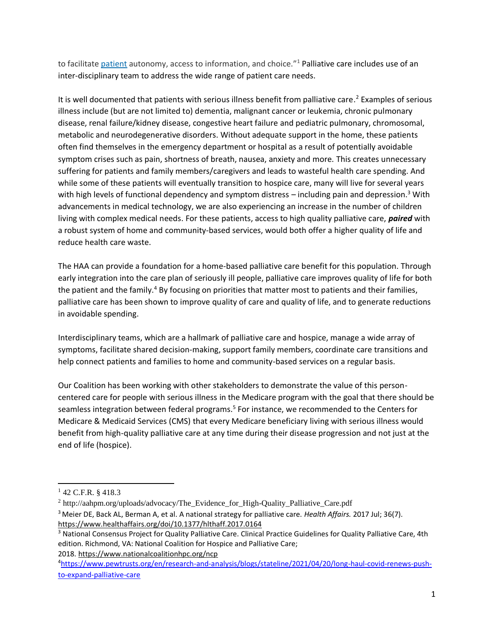to facilitate *[patient](https://www.law.cornell.edu/definitions/index.php?width=840&height=800&iframe=true&def_id=a7b754745b3208b7071ab7fb0db5c5cf&term_occur=999&term_src=Title:42:Chapter:IV:Subchapter:B:Part:418:Subpart:A:418.3)* autonomy, access to information, and choice."<sup>1</sup> Palliative care includes use of an inter-disciplinary team to address the wide range of patient care needs.

It is well documented that patients with serious illness benefit from palliative care.<sup>2</sup> Examples of serious illness include (but are not limited to) dementia, malignant cancer or leukemia, chronic pulmonary disease, renal failure/kidney disease, congestive heart failure and pediatric pulmonary, chromosomal, metabolic and neurodegenerative disorders. Without adequate support in the home, these patients often find themselves in the emergency department or hospital as a result of potentially avoidable symptom crises such as pain, shortness of breath, nausea, anxiety and more. This creates unnecessary suffering for patients and family members/caregivers and leads to wasteful health care spending. And while some of these patients will eventually transition to hospice care, many will live for several years with high levels of functional dependency and symptom distress - including pain and depression.<sup>3</sup> With advancements in medical technology, we are also experiencing an increase in the number of children living with complex medical needs. For these patients, access to high quality palliative care, *paired* with a robust system of home and community-based services, would both offer a higher quality of life and reduce health care waste.

The HAA can provide a foundation for a home-based palliative care benefit for this population. Through early integration into the care plan of seriously ill people, palliative care improves quality of life for both the patient and the family.<sup>4</sup> By focusing on priorities that matter most to patients and their families, palliative care has been shown to improve quality [of care and quality of life, and to generate reductions](https://www.capc.org/documents/download/245/)  [in avoidable spending.](https://www.capc.org/documents/download/245/)

Interdisciplinary teams, which are a hallmark of palliative care and hospice, manage a wide array of symptoms, facilitate shared decision-making, support family members, coordinate care transitions and help connect patients and families to home and community-based services on a regular basis.

Our Coalition has been working with other stakeholders to demonstrate the value of this personcentered care for people with serious illness in the Medicare program with the goal that there should be seamless integration between federal programs.<sup>5</sup> For instance, we recommended to the Centers for Medicare & Medicaid Services (CMS) that every Medicare beneficiary living with serious illness would benefit from high-quality palliative care at any time during their disease progression and not just at the end of life (hospice).

 $1$  42 C.F.R. § 418.3

<sup>2</sup> http://aahpm.org/uploads/advocacy/The\_Evidence\_for\_High-Quality\_Palliative\_Care.pdf <sup>3</sup> Meier DE, Back AL, Berman A, et al. A national strategy for palliative care. *Health Affairs.* 2017 Jul; 36(7). <https://www.healthaffairs.org/doi/10.1377/hlthaff.2017.0164>

<sup>&</sup>lt;sup>3</sup> National Consensus Project for Quality Palliative Care. Clinical Practice Guidelines for Quality Palliative Care, 4th edition. Richmond, VA: National Coalition for Hospice and Palliative Care; 2018. <https://www.nationalcoalitionhpc.org/ncp>

<sup>4</sup>[https://www.pewtrusts.org/en/research-and-analysis/blogs/stateline/2021/04/20/long-haul-covid-renews-push](https://www.pewtrusts.org/en/research-and-analysis/blogs/stateline/2021/04/20/long-haul-covid-renews-push-to-expand-palliative-care)[to-expand-palliative-care](https://www.pewtrusts.org/en/research-and-analysis/blogs/stateline/2021/04/20/long-haul-covid-renews-push-to-expand-palliative-care)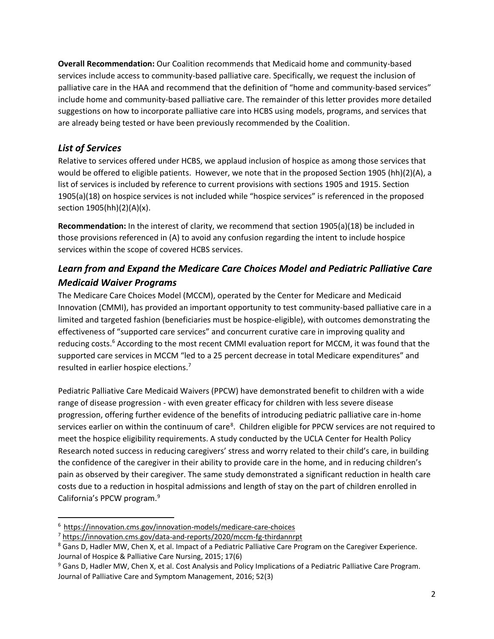**Overall Recommendation:** Our Coalition recommends that Medicaid home and community-based services include access to community-based palliative care. Specifically, we request the inclusion of palliative care in the HAA and recommend that the definition of "home and community-based services" include home and community-based palliative care. The remainder of this letter provides more detailed suggestions on how to incorporate palliative care into HCBS using models, programs, and services that are already being tested or have been previously recommended by the Coalition.

## *List of Services*

Relative to services offered under HCBS, we applaud inclusion of hospice as among those services that would be offered to eligible patients. However, we note that in the proposed Section 1905 (hh)(2)(A), a list of services is included by reference to current provisions with sections 1905 and 1915. Section 1905(a)(18) on hospice services is not included while "hospice services" is referenced in the proposed section 1905(hh)(2)(A)(x).

**Recommendation:** In the interest of clarity, we recommend that section 1905(a)(18) be included in those provisions referenced in (A) to avoid any confusion regarding the intent to include hospice services within the scope of covered HCBS services.

# *Learn from and Expand the Medicare Care Choices Model and Pediatric Palliative Care Medicaid Waiver Programs*

The Medicare Care Choices Model (MCCM), operated by the Center for Medicare and Medicaid Innovation (CMMI), has provided an important opportunity to test community-based palliative care in a limited and targeted fashion (beneficiaries must be hospice-eligible), with outcomes demonstrating the effectiveness of "supported care services" and concurrent curative care in improving quality and reducing costs.<sup>6</sup> According to the most recent CMMI evaluation report for MCCM, it was found that the supported care services in MCCM "led to a 25 percent decrease in total Medicare expenditures" and resulted in earlier hospice elections.<sup>7</sup>

Pediatric Palliative Care Medicaid Waivers (PPCW) have demonstrated benefit to children with a wide range of disease progression - with even greater efficacy for children with less severe disease progression, offering further evidence of the benefits of introducing pediatric palliative care in-home services earlier on within the continuum of care<sup>8</sup>. Children eligible for PPCW services are not required to meet the hospice eligibility requirements. A study conducted by the UCLA Center for Health Policy Research noted success in reducing caregivers' stress and worry related to their child's care, in building the confidence of the caregiver in their ability to provide care in the home, and in reducing children's pain as observed by their caregiver. The same study demonstrated a significant reduction in health care costs due to a reduction in hospital admissions and length of stay on the part of children enrolled in California's PPCW program.<sup>9</sup>

<sup>6</sup> <https://innovation.cms.gov/innovation-models/medicare-care-choices>

<sup>7</sup> <https://innovation.cms.gov/data-and-reports/2020/mccm-fg-thirdannrpt>

<sup>&</sup>lt;sup>8</sup> Gans D, Hadler MW, Chen X, et al. Impact of a Pediatric Palliative Care Program on the Caregiver Experience. Journal of Hospice & Palliative Care Nursing, 2015; 17(6)

<sup>&</sup>lt;sup>9</sup> Gans D, Hadler MW, Chen X, et al. Cost Analysis and Policy Implications of a Pediatric Palliative Care Program. Journal of Palliative Care and Symptom Management, 2016; 52(3)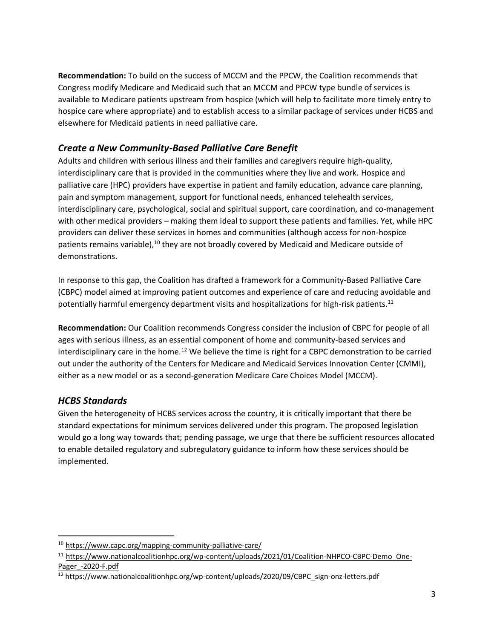**Recommendation:** To build on the success of MCCM and the PPCW, the Coalition recommends that Congress modify Medicare and Medicaid such that an MCCM and PPCW type bundle of services is available to Medicare patients upstream from hospice (which will help to facilitate more timely entry to hospice care where appropriate) and to establish access to a similar package of services under HCBS and elsewhere for Medicaid patients in need palliative care.

## *Create a New Community-Based Palliative Care Benefit*

Adults and children with serious illness and their families and caregivers require high-quality, interdisciplinary care that is provided in the communities where they live and work. Hospice and palliative care (HPC) providers have expertise in patient and family education, advance care planning, pain and symptom management, support for functional needs, enhanced telehealth services, interdisciplinary care, psychological, social and spiritual support, care coordination, and co-management with other medical providers – making them ideal to support these patients and families. Yet, while HPC providers can deliver these services in homes and communities (although access for non-hospice patients remains variable),<sup>10</sup> they are not broadly covered by Medicaid and Medicare outside of demonstrations.

In response to this gap, the Coalition has drafted a framework for a Community-Based Palliative Care (CBPC) model aimed at improving patient outcomes and experience of care and reducing avoidable and potentially harmful emergency department visits and hospitalizations for high-risk patients.<sup>11</sup>

**Recommendation:** Our Coalition recommends Congress consider the inclusion of CBPC for people of all ages with serious illness, as an essential component of home and community-based services and interdisciplinary care in the home.<sup>12</sup> We believe the time is right for a CBPC demonstration to be carried out under the authority of the Centers for Medicare and Medicaid Services Innovation Center (CMMI), either as a new model or as a second-generation Medicare Care Choices Model (MCCM). 

## *HCBS Standards*

Given the heterogeneity of HCBS services across the country, it is critically important that there be standard expectations for minimum services delivered under this program. The proposed legislation would go a long way towards that; pending passage, we urge that there be sufficient resources allocated to enable detailed regulatory and subregulatory guidance to inform how these services should be implemented.

<sup>&</sup>lt;sup>10</sup> <https://www.capc.org/mapping-community-palliative-care/>

<sup>&</sup>lt;sup>11</sup> [https://www.nationalcoalitionhpc.org/wp-content/uploads/2021/01/Coalition-NHPCO-CBPC-Demo\\_One-](https://www.nationalcoalitionhpc.org/wp-content/uploads/2021/01/Coalition-NHPCO-CBPC-Demo_One-Pager_-2020-F.pdf)[Pager\\_-2020-F.pdf](https://www.nationalcoalitionhpc.org/wp-content/uploads/2021/01/Coalition-NHPCO-CBPC-Demo_One-Pager_-2020-F.pdf)

<sup>&</sup>lt;sup>12</sup> [https://www.nationalcoalitionhpc.org/wp-content/uploads/2020/09/CBPC\\_sign-onz-letters.pdf](https://www.nationalcoalitionhpc.org/wp-content/uploads/2020/09/CBPC_sign-onz-letters.pdf)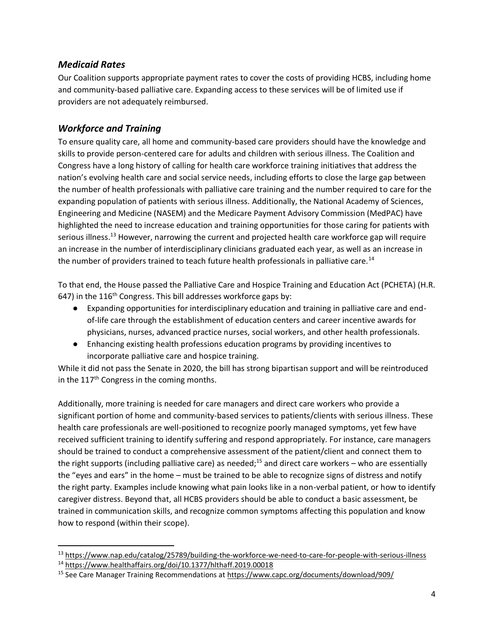#### *Medicaid Rates*

Our Coalition supports appropriate payment rates to cover the costs of providing HCBS, including home and community-based palliative care. Expanding access to these services will be of limited use if providers are not adequately reimbursed.

## *Workforce and Training*

To ensure quality care, all home and community-based care providers should have the knowledge and skills to provide person-centered care for adults and children with serious illness. The Coalition and Congress have a long history of calling for health care workforce training initiatives that address the nation's evolving health care and social service needs, including efforts to close the large gap between the number of health professionals with palliative care training and the number required to care for the expanding population of patients with serious illness. Additionally, the National Academy of Sciences, Engineering and Medicine (NASEM) and the Medicare Payment Advisory Commission (MedPAC) have highlighted the need to increase education and training opportunities for those caring for patients with serious illness.<sup>13</sup> However, narrowing the current and projected health care workforce gap will require an increase in the number of interdisciplinary clinicians graduated each year, as well as an increase in the number of providers trained to teach future health professionals in palliative care.<sup>14</sup>

To that end, the House passed the Palliative Care and Hospice Training and Education Act (PCHETA) (H.R. 647) in the  $116<sup>th</sup>$  Congress. This bill addresses workforce gaps by:

- Expanding opportunities for interdisciplinary education and training in palliative care and endof-life care through the establishment of education centers and career incentive awards for physicians, nurses, advanced practice nurses, social workers, and other health professionals.
- Enhancing existing health professions education programs by providing incentives to incorporate palliative care and hospice training.

While it did not pass the Senate in 2020, the bill has strong bipartisan support and will be reintroduced in the 117<sup>th</sup> Congress in the coming months.

Additionally, more training is needed for care managers and direct care workers who provide a significant portion of home and community-based services to patients/clients with serious illness. These health care professionals are well-positioned to recognize poorly managed symptoms, yet few have received sufficient training to identify suffering and respond appropriately. For instance, care managers should be trained to conduct a comprehensive assessment of the patient/client and connect them to the right supports (including palliative care) as needed;<sup>15</sup> and direct care workers – who are essentially the "eyes and ears" in the home – must be trained to be able to recognize signs of distress and notify the right party. Examples include knowing what pain looks like in a non-verbal patient, or how to identify caregiver distress. Beyond that, all HCBS providers should be able to conduct a basic assessment, be trained in communication skills, and recognize common symptoms affecting this population and know how to respond (within their scope).

<sup>13</sup> <https://www.nap.edu/catalog/25789/building-the-workforce-we-need-to-care-for-people-with-serious-illness>

<sup>14</sup> <https://www.healthaffairs.org/doi/10.1377/hlthaff.2019.00018>

<sup>15</sup> See Care Manager Training Recommendations a[t https://www.capc.org/documents/download/909/](https://www.capc.org/documents/download/909/)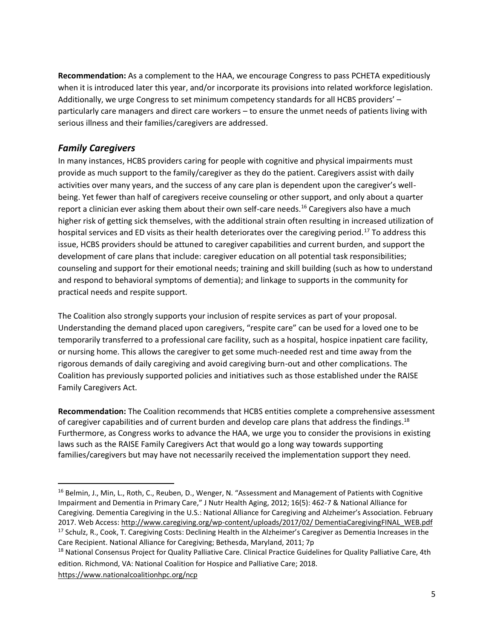**Recommendation:** As a complement to the HAA, we encourage Congress to pass PCHETA expeditiously when it is introduced later this year, and/or incorporate its provisions into related workforce legislation. Additionally, we urge Congress to set minimum competency standards for all HCBS providers' – particularly care managers and direct care workers – to ensure the unmet needs of patients living with serious illness and their families/caregivers are addressed.

## *Family Caregivers*

In many instances, HCBS providers caring for people with cognitive and physical impairments must provide as much support to the family/caregiver as they do the patient. Caregivers assist with daily activities over many years, and the success of any care plan is dependent upon the caregiver's wellbeing. Yet fewer than half of caregivers receive counseling or other support, and only about a quarter report a clinician ever asking them about their own self-care needs.<sup>16</sup> Caregivers also have a much higher risk of getting sick themselves, with the additional strain often resulting in increased utilization of hospital services and ED visits as their health deteriorates over the caregiving period.<sup>17</sup> To address this issue, HCBS providers should be attuned to caregiver capabilities and current burden, and support the development of care plans that include: caregiver education on all potential task responsibilities; counseling and support for their emotional needs; training and skill building (such as how to understand and respond to behavioral symptoms of dementia); and linkage to supports in the community for practical needs and respite support.

The Coalition also strongly supports your inclusion of respite services as part of your proposal. Understanding the demand placed upon caregivers, "respite care" can be used for a loved one to be temporarily transferred to a professional care facility, such as a hospital, hospice inpatient care facility, or nursing home. This allows the caregiver to get some much-needed rest and time away from the rigorous demands of daily caregiving and avoid caregiving burn-out and other complications. The Coalition has previously supported policies and initiatives such as those established under the RAISE Family Caregivers Act.

**Recommendation:** The Coalition recommends that HCBS entities complete a comprehensive assessment of caregiver capabilities and of current burden and develop care plans that address the findings.<sup>18</sup> Furthermore, as Congress works to advance the HAA, we urge you to consider the provisions in existing laws such as the RAISE Family Caregivers Act that would go a long way towards supporting families/caregivers but may have not necessarily received the implementation support they need.

<sup>&</sup>lt;sup>16</sup> Belmin, J., Min, L., Roth, C., Reuben, D., Wenger, N. "Assessment and Management of Patients with Cognitive Impairment and Dementia in Primary Care," J Nutr Health Aging, 2012; 16(5): 462-7 & National Alliance for Caregiving. Dementia Caregiving in the U.S.: National Alliance for Caregiving and Alzheimer's Association. February 2017. Web Access[: http://www.caregiving.org/wp-content/uploads/2017/02/ DementiaCaregivingFINAL\\_WEB.pdf](http://www.caregiving.org/wp-content/uploads/2017/02/%20DementiaCaregivingFINAL_WEB.pdf) <sup>17</sup> Schulz, R., Cook, T. Caregiving Costs: Declining Health in the Alzheimer's Caregiver as Dementia Increases in the Care Recipient. National Alliance for Caregiving; Bethesda, Maryland, 2011; 7p

<sup>&</sup>lt;sup>18</sup> National Consensus Project for Quality Palliative Care. Clinical Practice Guidelines for Quality Palliative Care, 4th edition. Richmond, VA: National Coalition for Hospice and Palliative Care; 2018. <https://www.nationalcoalitionhpc.org/ncp>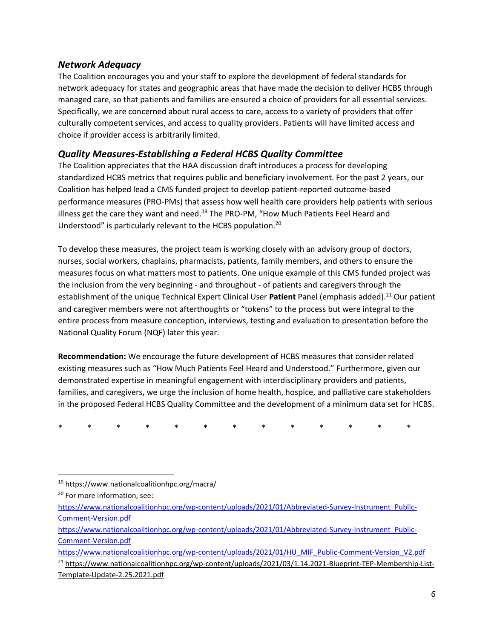#### *Network Adequacy*

The Coalition encourages you and your staff to explore the development of federal standards for network adequacy for states and geographic areas that have made the decision to deliver HCBS through managed care, so that patients and families are ensured a choice of providers for all essential services. Specifically, we are concerned about rural access to care, access to a variety of providers that offer culturally competent services, and access to quality providers. Patients will have limited access and choice if provider access is arbitrarily limited.

#### *Quality Measures-Establishing a Federal HCBS Quality Committee*

The Coalition appreciates that the HAA discussion draft introduces a process for developing standardized HCBS metrics that requires public and beneficiary involvement. For the past 2 years, our Coalition has helped lead a CMS funded project to develop patient-reported outcome-based performance measures (PRO-PMs) that assess how well health care providers help patients with serious illness get the care they want and need.<sup>19</sup> The PRO-PM, "How Much Patients Feel Heard and Understood" is particularly relevant to the HCBS population.<sup>20</sup>

To develop these measures, the project team is working closely with an advisory group of doctors, nurses, social workers, chaplains, pharmacists, patients, family members, and others to ensure the measures focus on what matters most to patients. One unique example of this CMS funded project was the inclusion from the very beginning - and throughout - of patients and caregivers through the establishment of the unique Technical Expert Clinical User Patient Panel (emphasis added).<sup>21</sup> Our patient and caregiver members were not afterthoughts or "tokens" to the process but were integral to the entire process from measure conception, interviews, testing and evaluation to presentation before the National Quality Forum (NQF) later this year.

**Recommendation:** We encourage the future development of HCBS measures that consider related existing measures such as "How Much Patients Feel Heard and Understood." Furthermore, given our demonstrated expertise in meaningful engagement with interdisciplinary providers and patients, families, and caregivers, we urge the inclusion of home health, hospice, and palliative care stakeholders in the proposed Federal HCBS Quality Committee and the development of a minimum data set for HCBS.

\* \* \* \* \* \* \* \* \* \* \* \* \*

<sup>19</sup> <https://www.nationalcoalitionhpc.org/macra/>

<sup>&</sup>lt;sup>20</sup> For more information, see:

[https://www.nationalcoalitionhpc.org/wp-content/uploads/2021/01/Abbreviated-Survey-Instrument\\_Public-](https://www.nationalcoalitionhpc.org/wp-content/uploads/2021/01/Abbreviated-Survey-Instrument_Public-Comment-Version.pdf)[Comment-Version.pdf](https://www.nationalcoalitionhpc.org/wp-content/uploads/2021/01/Abbreviated-Survey-Instrument_Public-Comment-Version.pdf)

[https://www.nationalcoalitionhpc.org/wp-content/uploads/2021/01/Abbreviated-Survey-Instrument\\_Public-](https://www.nationalcoalitionhpc.org/wp-content/uploads/2021/01/Abbreviated-Survey-Instrument_Public-Comment-Version.pdf)[Comment-Version.pdf](https://www.nationalcoalitionhpc.org/wp-content/uploads/2021/01/Abbreviated-Survey-Instrument_Public-Comment-Version.pdf)

[https://www.nationalcoalitionhpc.org/wp-content/uploads/2021/01/HU\\_MIF\\_Public-Comment-Version\\_V2.pdf](https://www.nationalcoalitionhpc.org/wp-content/uploads/2021/01/HU_MIF_Public-Comment-Version_V2.pdf)

<sup>&</sup>lt;sup>21</sup> [https://www.nationalcoalitionhpc.org/wp-content/uploads/2021/03/1.14.2021-Blueprint-TEP-Membership-List-](https://www.nationalcoalitionhpc.org/wp-content/uploads/2021/03/1.14.2021-Blueprint-TEP-Membership-List-Template-Update-2.25.2021.pdf)[Template-Update-2.25.2021.pdf](https://www.nationalcoalitionhpc.org/wp-content/uploads/2021/03/1.14.2021-Blueprint-TEP-Membership-List-Template-Update-2.25.2021.pdf)